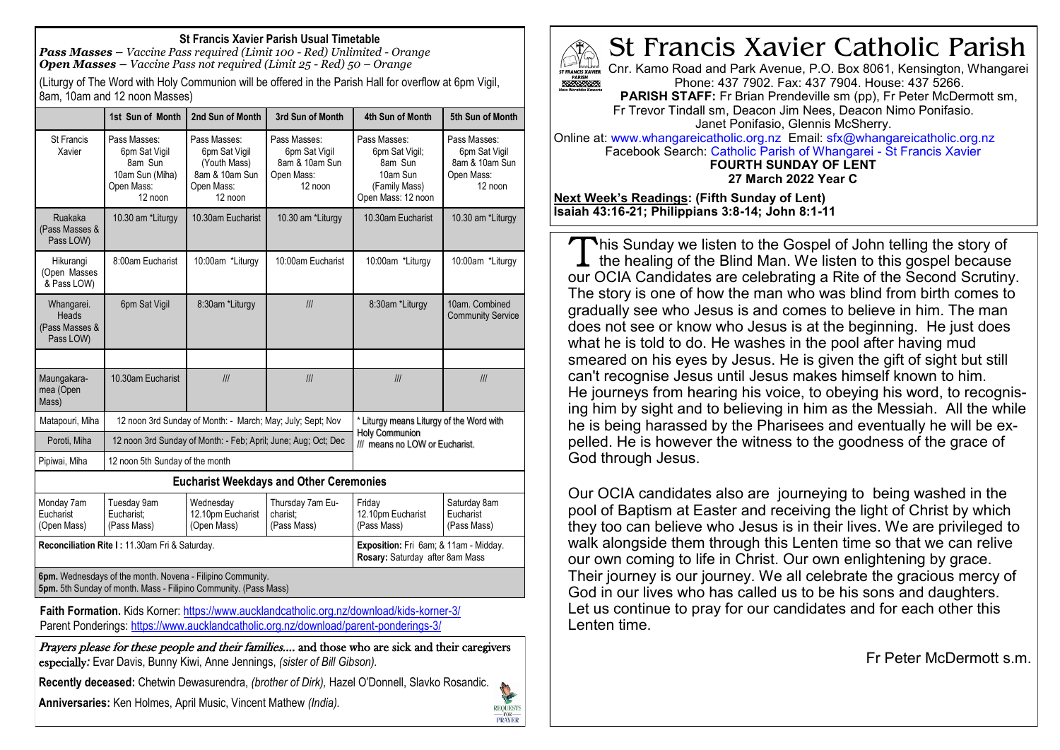#### **St Francis Xavier Parish Usual Timetable**

*Pass Masses – Vaccine Pass required (Limit 100 - Red) Unlimited - Orange Open Masses – Vaccine Pass not required (Limit 25 - Red) 50 – Orange*

(Liturgy of The Word with Holy Communion will be offered in the Parish Hall for overflow at 6pm Vigil, 8am, 10am and 12 noon Masses)

|                                                                                                                                                                | 1st Sun of Month                                                                     | 2nd Sun of Month                                                                         | 3rd Sun of Month                                                         | 4th Sun of Month                                                                                    | 5th Sun of Month                                                         |
|----------------------------------------------------------------------------------------------------------------------------------------------------------------|--------------------------------------------------------------------------------------|------------------------------------------------------------------------------------------|--------------------------------------------------------------------------|-----------------------------------------------------------------------------------------------------|--------------------------------------------------------------------------|
| <b>St Francis</b><br>Xavier                                                                                                                                    | Pass Masses:<br>6pm Sat Vigil<br>8am Sun<br>10am Sun (Miha)<br>Open Mass:<br>12 noon | Pass Masses:<br>6pm Sat Vigil<br>(Youth Mass)<br>8am & 10am Sun<br>Open Mass:<br>12 noon | Pass Masses:<br>6pm Sat Vigil<br>8am & 10am Sun<br>Open Mass:<br>12 noon | Pass Masses:<br>6pm Sat Vigil;<br>8am Sun<br>10am Sun<br>(Family Mass)<br>Open Mass: 12 noon        | Pass Masses:<br>6pm Sat Vigil<br>8am & 10am Sun<br>Open Mass:<br>12 noon |
| Ruakaka<br>(Pass Masses &<br>Pass LOW)                                                                                                                         | 10.30 am *Liturgy                                                                    | 10.30am Eucharist                                                                        | 10.30 am *Liturgy                                                        | 10.30am Eucharist                                                                                   | 10.30 am *Liturgy                                                        |
| Hikurangi<br>(Open Masses<br>& Pass LOW)                                                                                                                       | 8:00am Eucharist                                                                     | 10:00am *Liturgy                                                                         | 10:00am Eucharist                                                        | 10:00am *Liturgy                                                                                    | 10:00am *Liturgy                                                         |
| Whangarei.<br>Heads<br>(Pass Masses &<br>Pass LOW)                                                                                                             | 6pm Sat Vigil                                                                        | 8:30am *Liturgy                                                                          | III                                                                      | 8:30am *Liturgy                                                                                     | 10am. Combined<br><b>Community Service</b>                               |
|                                                                                                                                                                |                                                                                      |                                                                                          |                                                                          |                                                                                                     |                                                                          |
| Maungakara-<br>mea (Open<br>Mass)                                                                                                                              | 10.30am Eucharist                                                                    | III                                                                                      | III                                                                      | III                                                                                                 | III                                                                      |
| Matapouri, Miha                                                                                                                                                | 12 noon 3rd Sunday of Month: - March; May; July; Sept; Nov                           |                                                                                          |                                                                          | * Liturgy means Liturgy of the Word with<br><b>Holy Communion</b><br>/// means no LOW or Eucharist. |                                                                          |
| Poroti, Miha                                                                                                                                                   | 12 noon 3rd Sunday of Month: - Feb: April: June: Aug: Oct: Dec                       |                                                                                          |                                                                          |                                                                                                     |                                                                          |
| Pipiwai, Miha                                                                                                                                                  | 12 noon 5th Sunday of the month                                                      |                                                                                          |                                                                          |                                                                                                     |                                                                          |
| <b>Eucharist Weekdays and Other Ceremonies</b>                                                                                                                 |                                                                                      |                                                                                          |                                                                          |                                                                                                     |                                                                          |
| Monday 7am<br>Eucharist<br>(Open Mass)                                                                                                                         | Tuesday 9am<br>Eucharist:<br>(Pass Mass)                                             | Wednesday<br>12.10pm Eucharist<br>(Open Mass)                                            | Thursday 7am Eu-<br>charist:<br>(Pass Mass)                              | Friday<br>12.10pm Eucharist<br>(Pass Mass)                                                          | Saturday 8am<br>Eucharist<br>(Pass Mass)                                 |
| Reconciliation Rite I: 11.30am Fri & Saturday.                                                                                                                 |                                                                                      |                                                                                          |                                                                          | Exposition: Fri 6am; & 11am - Midday.<br>Rosary: Saturday after 8am Mass                            |                                                                          |
| 6pm. Wednesdays of the month. Novena - Filipino Community.<br>$F(L, \Omega_{\text{max}}   L_1, L_2, \ldots, L_n   L_1, L_2, \ldots, L_n, \Omega_{\text{max}})$ |                                                                                      |                                                                                          |                                                                          |                                                                                                     |                                                                          |

**5pm.** 5th Sunday of month. Mass - Filipino Community. (Pass Mass)

**Faith Formation.** Kids Korner: <https://www.aucklandcatholic.org.nz/download/kids-korner-3/> Parent Ponderings:<https://www.aucklandcatholic.org.nz/download/parent-ponderings-3/>

Prayers please for these people and their families.... and those who are sick and their caregivers especially*:* Evar Davis, Bunny Kiwi, Anne Jennings, *(sister of Bill Gibson).*

**Recently deceased:** Chetwin Dewasurendra, *(brother of Dirk),* Hazel O'Donnell, Slavko Rosandic. **Call Branch** 

**Anniversaries:** Ken Holmes, April Music, Vincent Mathew *(India).*



**REQUESTS** PRAYER

# St Francis Xavier Catholic Parish

Cnr. Kamo Road and Park Avenue, P.O. Box 8061, Kensington, Whangarei Phone: 437 7902. Fax: 437 7904. House: 437 5266.

**PARISH STAFF:** Fr Brian Prendeville sm (pp), Fr Peter McDermott sm, Fr Trevor Tindall sm, Deacon Jim Nees, Deacon Nimo Ponifasio. Janet Ponifasio, Glennis McSherry.

Online at: www.whangareicatholic.org.nz Email: sfx@whangareicatholic.org.nz Facebook Search: Catholic Parish of Whangarei - St Francis Xavier **FOURTH SUNDAY OF LENT**

**27 March 2022 Year C**

**Next Week's Readings: (Fifth Sunday of Lent) Isaiah 43:16-21; Philippians 3:8-14; John 8:1-11**

This Sunday we listen to the Gospel of John telling the story of the healing of the Blind Man. We listen to this gospel because  $\perp$  the healing of the Blind Man. We listen to this gospel because our OCIA Candidates are celebrating a Rite of the Second Scrutiny. The story is one of how the man who was blind from birth comes to gradually see who Jesus is and comes to believe in him. The man does not see or know who Jesus is at the beginning. He just does what he is told to do. He washes in the pool after having mud smeared on his eyes by Jesus. He is given the gift of sight but still can't recognise Jesus until Jesus makes himself known to him. He journeys from hearing his voice, to obeying his word, to recognising him by sight and to believing in him as the Messiah. All the while he is being harassed by the Pharisees and eventually he will be expelled. He is however the witness to the goodness of the grace of God through Jesus.

Our OCIA candidates also are journeying to being washed in the pool of Baptism at Easter and receiving the light of Christ by which they too can believe who Jesus is in their lives. We are privileged to walk alongside them through this Lenten time so that we can relive our own coming to life in Christ. Our own enlightening by grace. Their journey is our journey. We all celebrate the gracious mercy of God in our lives who has called us to be his sons and daughters. Let us continue to pray for our candidates and for each other this Lenten time.

Fr Peter McDermott s.m.